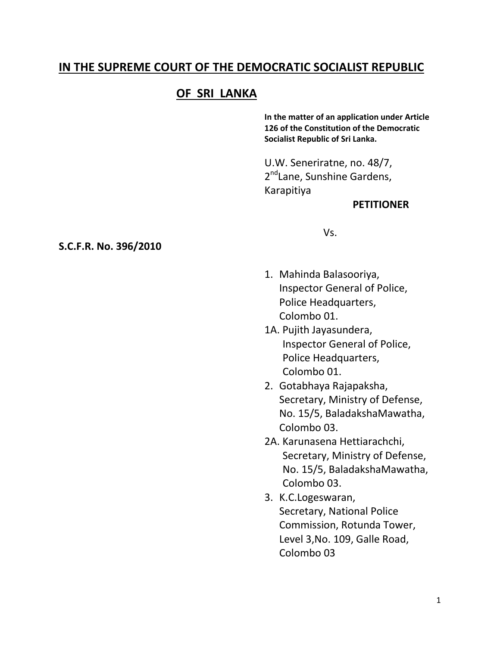## **IN THE SUPREME COURT OF THE DEMOCRATIC SOCIALIST REPUBLIC**

# **OF SRI LANKA**

**In the matter of an application under Article 126 of the Constitution of the Democratic Socialist Republic of Sri Lanka.**

U.W. Seneriratne, no. 48/7, 2<sup>nd</sup>Lane, Sunshine Gardens, Karapitiya

### **PETITIONER**

Vs.

- 1. Mahinda Balasooriya, Inspector General of Police, Police Headquarters, Colombo 01.
- 1A. Pujith Jayasundera, Inspector General of Police, Police Headquarters, Colombo 01.
- 2. Gotabhaya Rajapaksha, Secretary, Ministry of Defense, No. 15/5, BaladakshaMawatha, Colombo 03.
- 2A. Karunasena Hettiarachchi, Secretary, Ministry of Defense, No. 15/5, BaladakshaMawatha, Colombo 03.
- 3. K.C.Logeswaran, Secretary, National Police Commission, Rotunda Tower, Level 3,No. 109, Galle Road, Colombo 03

### **S.C.F.R. No. 396/2010**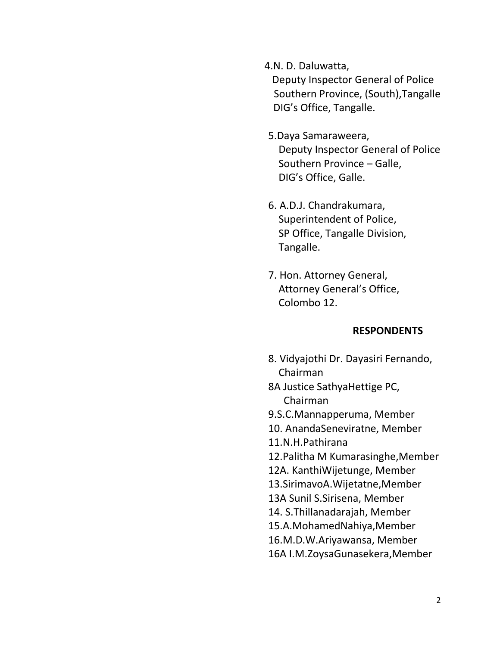4.N. D. Daluwatta, Deputy Inspector General of Police Southern Province, (South),Tangalle DIG's Office, Tangalle.

- 5.Daya Samaraweera, Deputy Inspector General of Police Southern Province – Galle, DIG's Office, Galle.
- 6. A.D.J. Chandrakumara, Superintendent of Police, SP Office, Tangalle Division, Tangalle.
- 7. Hon. Attorney General, Attorney General's Office, Colombo 12.

### **RESPONDENTS**

- 8. Vidyajothi Dr. Dayasiri Fernando, Chairman
- 8A Justice SathyaHettige PC, Chairman
- 9.S.C.Mannapperuma, Member
- 10. AnandaSeneviratne, Member
- 11.N.H.Pathirana
- 12.Palitha M Kumarasinghe,Member
- 12A. KanthiWijetunge, Member
- 13.SirimavoA.Wijetatne,Member
- 13A Sunil S.Sirisena, Member
- 14. S.Thillanadarajah, Member
- 15.A.MohamedNahiya,Member
- 16.M.D.W.Ariyawansa, Member
- 16A I.M.ZoysaGunasekera,Member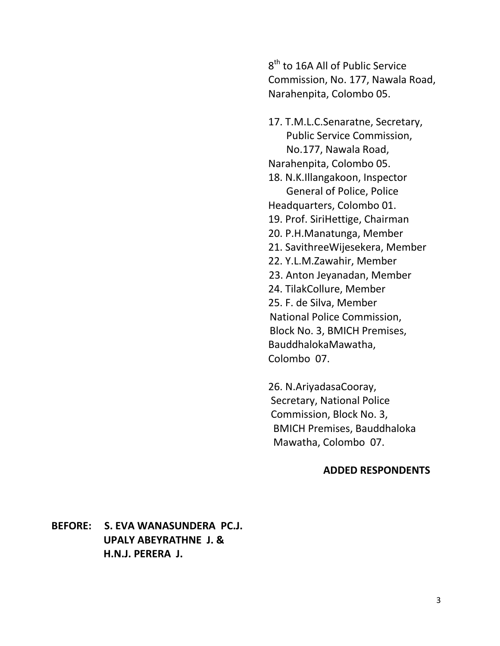$8^{\text{th}}$  to 16A All of Public Service Commission, No. 177, Nawala Road, Narahenpita, Colombo 05.

17. T.M.L.C.Senaratne, Secretary, Public Service Commission, No.177, Nawala Road, Narahenpita, Colombo 05. 18. N.K.Illangakoon, Inspector General of Police, Police Headquarters, Colombo 01. 19. Prof. SiriHettige, Chairman 20. P.H.Manatunga, Member 21. SavithreeWijesekera, Member 22. Y.L.M.Zawahir, Member 23. Anton Jeyanadan, Member 24. TilakCollure, Member 25. F. de Silva, Member National Police Commission, Block No. 3, BMICH Premises, BauddhalokaMawatha, Colombo 07.

26. N.AriyadasaCooray, Secretary, National Police Commission, Block No. 3, BMICH Premises, Bauddhaloka Mawatha, Colombo 07.

#### **ADDED RESPONDENTS**

**BEFORE: S. EVA WANASUNDERA PC.J. UPALY ABEYRATHNE J. & H.N.J. PERERA J.**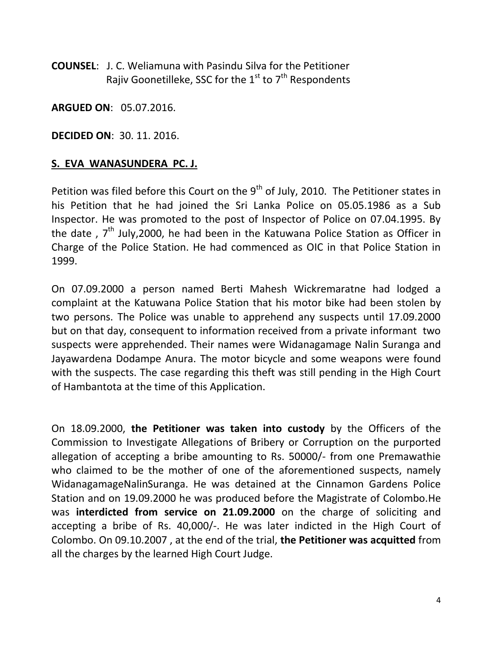**COUNSEL**: J. C. Weliamuna with Pasindu Silva for the Petitioner Rajiv Goonetilleke, SSC for the  $1<sup>st</sup>$  to  $7<sup>th</sup>$  Respondents

**ARGUED ON**: 05.07.2016.

**DECIDED ON**: 30. 11. 2016.

### **S. EVA WANASUNDERA PC. J.**

Petition was filed before this Court on the  $9<sup>th</sup>$  of July, 2010. The Petitioner states in his Petition that he had joined the Sri Lanka Police on 05.05.1986 as a Sub Inspector. He was promoted to the post of Inspector of Police on 07.04.1995. By the date ,  $7<sup>th</sup>$  July, 2000, he had been in the Katuwana Police Station as Officer in Charge of the Police Station. He had commenced as OIC in that Police Station in 1999.

On 07.09.2000 a person named Berti Mahesh Wickremaratne had lodged a complaint at the Katuwana Police Station that his motor bike had been stolen by two persons. The Police was unable to apprehend any suspects until 17.09.2000 but on that day, consequent to information received from a private informant two suspects were apprehended. Their names were Widanagamage Nalin Suranga and Jayawardena Dodampe Anura. The motor bicycle and some weapons were found with the suspects. The case regarding this theft was still pending in the High Court of Hambantota at the time of this Application.

On 18.09.2000, **the Petitioner was taken into custody** by the Officers of the Commission to Investigate Allegations of Bribery or Corruption on the purported allegation of accepting a bribe amounting to Rs. 50000/- from one Premawathie who claimed to be the mother of one of the aforementioned suspects, namely WidanagamageNalinSuranga. He was detained at the Cinnamon Gardens Police Station and on 19.09.2000 he was produced before the Magistrate of Colombo.He was **interdicted from service on 21.09.2000** on the charge of soliciting and accepting a bribe of Rs. 40,000/-. He was later indicted in the High Court of Colombo. On 09.10.2007 , at the end of the trial, **the Petitioner was acquitted** from all the charges by the learned High Court Judge.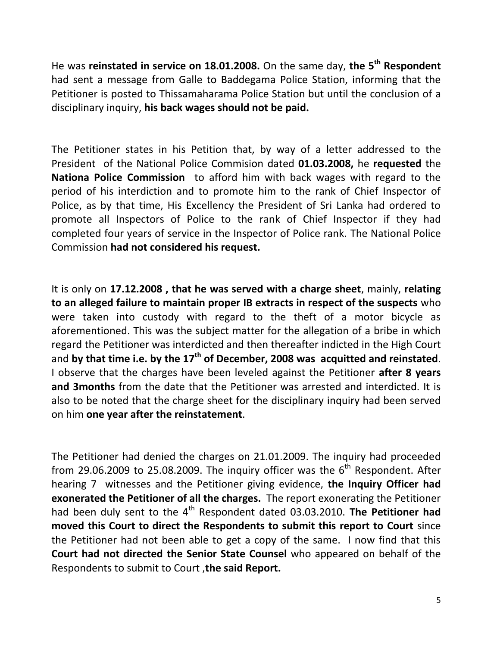He was **reinstated in service on 18.01.2008.** On the same day, **the 5th Respondent** had sent a message from Galle to Baddegama Police Station, informing that the Petitioner is posted to Thissamaharama Police Station but until the conclusion of a disciplinary inquiry, **his back wages should not be paid.**

The Petitioner states in his Petition that, by way of a letter addressed to the President of the National Police Commision dated **01.03.2008,** he **requested** the **Nationa Police Commission** to afford him with back wages with regard to the period of his interdiction and to promote him to the rank of Chief Inspector of Police, as by that time, His Excellency the President of Sri Lanka had ordered to promote all Inspectors of Police to the rank of Chief Inspector if they had completed four years of service in the Inspector of Police rank. The National Police Commission **had not considered his request.**

It is only on **17.12.2008 , that he was served with a charge sheet**, mainly, **relating to an alleged failure to maintain proper IB extracts in respect of the suspects** who were taken into custody with regard to the theft of a motor bicycle as aforementioned. This was the subject matter for the allegation of a bribe in which regard the Petitioner was interdicted and then thereafter indicted in the High Court and **by that time i.e. by the 17th of December, 2008 was acquitted and reinstated**. I observe that the charges have been leveled against the Petitioner **after 8 years and 3months** from the date that the Petitioner was arrested and interdicted. It is also to be noted that the charge sheet for the disciplinary inquiry had been served on him **one year after the reinstatement**.

The Petitioner had denied the charges on 21.01.2009. The inquiry had proceeded from 29.06.2009 to 25.08.2009. The inquiry officer was the  $6<sup>th</sup>$  Respondent. After hearing 7 witnesses and the Petitioner giving evidence, **the Inquiry Officer had exonerated the Petitioner of all the charges.** The report exonerating the Petitioner had been duly sent to the 4<sup>th</sup> Respondent dated 03.03.2010. The Petitioner had **moved this Court to direct the Respondents to submit this report to Court** since the Petitioner had not been able to get a copy of the same. I now find that this **Court had not directed the Senior State Counsel** who appeared on behalf of the Respondents to submit to Court ,**the said Report.**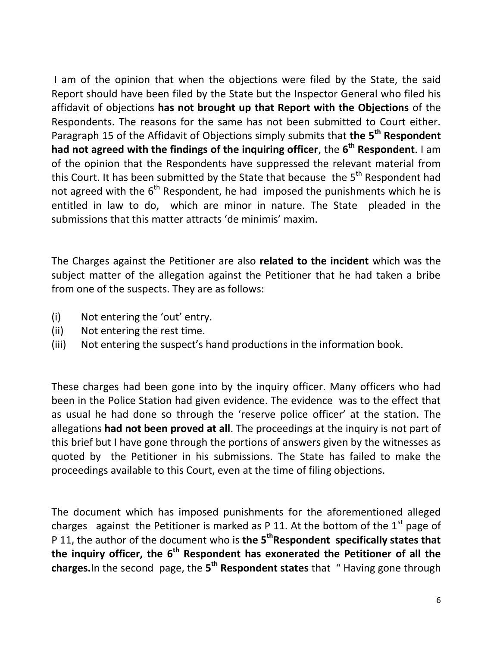I am of the opinion that when the objections were filed by the State, the said Report should have been filed by the State but the Inspector General who filed his affidavit of objections **has not brought up that Report with the Objections** of the Respondents. The reasons for the same has not been submitted to Court either. Paragraph 15 of the Affidavit of Objections simply submits that **the 5th Respondent had not agreed with the findings of the inquiring officer**, the **6 th Respondent**. I am of the opinion that the Respondents have suppressed the relevant material from this Court. It has been submitted by the State that because the  $5<sup>th</sup>$  Respondent had not agreed with the  $6<sup>th</sup>$  Respondent, he had imposed the punishments which he is entitled in law to do, which are minor in nature. The State pleaded in the submissions that this matter attracts 'de minimis' maxim.

The Charges against the Petitioner are also **related to the incident** which was the subject matter of the allegation against the Petitioner that he had taken a bribe from one of the suspects. They are as follows:

- (i) Not entering the 'out' entry.
- (ii) Not entering the rest time.
- (iii) Not entering the suspect's hand productions in the information book.

These charges had been gone into by the inquiry officer. Many officers who had been in the Police Station had given evidence. The evidence was to the effect that as usual he had done so through the 'reserve police officer' at the station. The allegations **had not been proved at all**. The proceedings at the inquiry is not part of this brief but I have gone through the portions of answers given by the witnesses as quoted by the Petitioner in his submissions. The State has failed to make the proceedings available to this Court, even at the time of filing objections.

The document which has imposed punishments for the aforementioned alleged charges against the Petitioner is marked as P 11. At the bottom of the  $1<sup>st</sup>$  page of P 11, the author of the document who is **the 5thRespondent specifically states that the inquiry officer, the 6th Respondent has exonerated the Petitioner of all the charges.**In the second page, the **5 th Respondent states** that " Having gone through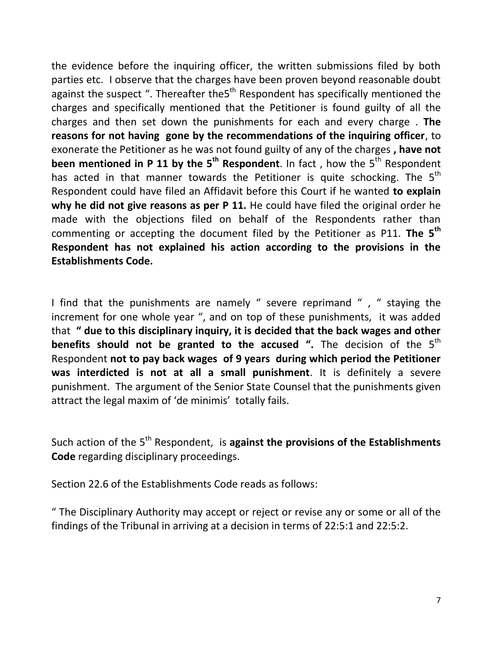the evidence before the inquiring officer, the written submissions filed by both parties etc. I observe that the charges have been proven beyond reasonable doubt against the suspect ". Thereafter the  $5<sup>th</sup>$  Respondent has specifically mentioned the charges and specifically mentioned that the Petitioner is found guilty of all the charges and then set down the punishments for each and every charge . **The reasons for not having gone by the recommendations of the inquiring officer**, to exonerate the Petitioner as he was not found guilty of any of the charges **, have not been mentioned in P 11 by the 5<sup>th</sup> Respondent**. In fact, how the 5<sup>th</sup> Respondent has acted in that manner towards the Petitioner is quite schocking. The  $5<sup>th</sup>$ Respondent could have filed an Affidavit before this Court if he wanted **to explain why he did not give reasons as per P 11.** He could have filed the original order he made with the objections filed on behalf of the Respondents rather than commenting or accepting the document filed by the Petitioner as P11. **The 5th Respondent has not explained his action according to the provisions in the Establishments Code.**

I find that the punishments are namely " severe reprimand ", " staying the increment for one whole year ", and on top of these punishments, it was added that **" due to this disciplinary inquiry, it is decided that the back wages and other benefits should not be granted to the accused ".** The decision of the 5<sup>th</sup> Respondent **not to pay back wages of 9 years during which period the Petitioner was interdicted is not at all a small punishment**. It is definitely a severe punishment. The argument of the Senior State Counsel that the punishments given attract the legal maxim of 'de minimis' totally fails.

Such action of the 5<sup>th</sup> Respondent, is **against the provisions of the Establishments Code** regarding disciplinary proceedings.

Section 22.6 of the Establishments Code reads as follows:

" The Disciplinary Authority may accept or reject or revise any or some or all of the findings of the Tribunal in arriving at a decision in terms of 22:5:1 and 22:5:2.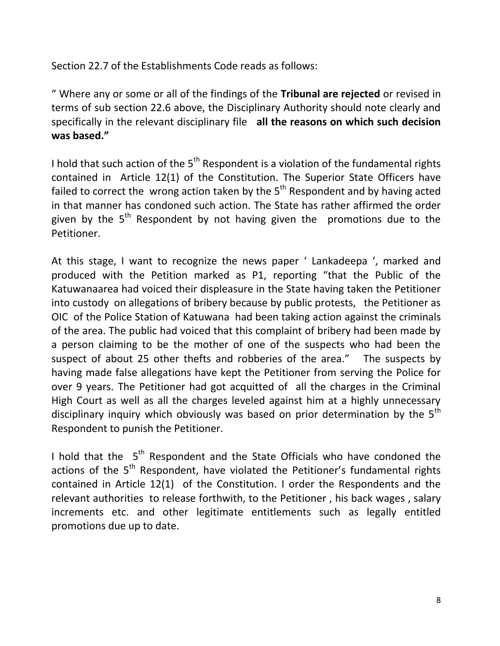Section 22.7 of the Establishments Code reads as follows:

" Where any or some or all of the findings of the **Tribunal are rejected** or revised in terms of sub section 22.6 above, the Disciplinary Authority should note clearly and specifically in the relevant disciplinary file **all the reasons on which such decision was based."**

I hold that such action of the  $5<sup>th</sup>$  Respondent is a violation of the fundamental rights contained in Article 12(1) of the Constitution. The Superior State Officers have failed to correct the wrong action taken by the  $5<sup>th</sup>$  Respondent and by having acted in that manner has condoned such action. The State has rather affirmed the order given by the  $5<sup>th</sup>$  Respondent by not having given the promotions due to the Petitioner.

At this stage, I want to recognize the news paper ' Lankadeepa ', marked and produced with the Petition marked as P1, reporting "that the Public of the Katuwanaarea had voiced their displeasure in the State having taken the Petitioner into custody on allegations of bribery because by public protests, the Petitioner as OIC of the Police Station of Katuwana had been taking action against the criminals of the area. The public had voiced that this complaint of bribery had been made by a person claiming to be the mother of one of the suspects who had been the suspect of about 25 other thefts and robberies of the area." The suspects by having made false allegations have kept the Petitioner from serving the Police for over 9 years. The Petitioner had got acquitted of all the charges in the Criminal High Court as well as all the charges leveled against him at a highly unnecessary disciplinary inquiry which obviously was based on prior determination by the  $5<sup>th</sup>$ Respondent to punish the Petitioner.

I hold that the  $5<sup>th</sup>$  Respondent and the State Officials who have condoned the actions of the  $5<sup>th</sup>$  Respondent, have violated the Petitioner's fundamental rights contained in Article 12(1) of the Constitution. I order the Respondents and the relevant authorities to release forthwith, to the Petitioner , his back wages , salary increments etc. and other legitimate entitlements such as legally entitled promotions due up to date.